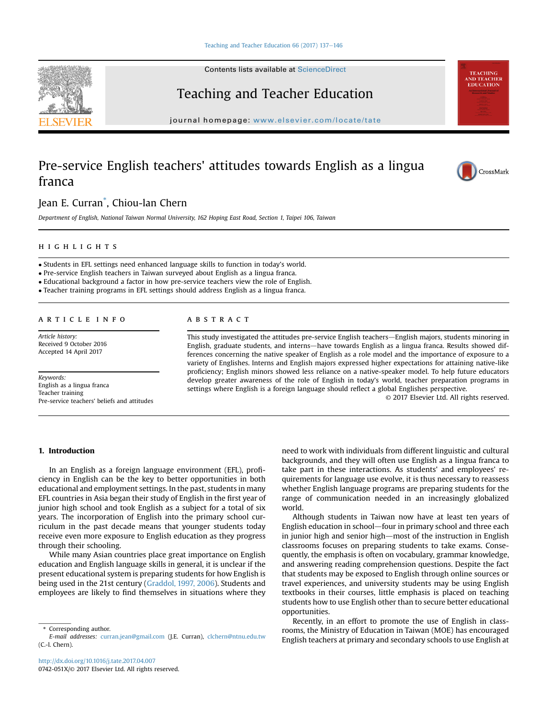### [Teaching and Teacher Education 66 \(2017\) 137](http://dx.doi.org/10.1016/j.tate.2017.04.007)-[146](http://dx.doi.org/10.1016/j.tate.2017.04.007)

Contents lists available at ScienceDirect

# Teaching and Teacher Education

journal homepage: [www.elsevier.com/locate/tate](http://www.elsevier.com/locate/tate)

# Pre-service English teachers' attitudes towards English as a lingua franca



Department of English, National Taiwan Normal University, 162 Hoping East Road, Section 1, Taipei 106, Taiwan

# highlights are the state of the state of

Students in EFL settings need enhanced language skills to function in today's world.

Pre-service English teachers in Taiwan surveyed about English as a lingua franca.

Educational background a factor in how pre-service teachers view the role of English.

Teacher training programs in EFL settings should address English as a lingua franca.

Article history: Received 9 October 2016 Accepted 14 April 2017

Keywords: English as a lingua franca Teacher training Pre-service teachers' beliefs and attitudes

### **ABSTRACT**

This study investigated the attitudes pre-service English teachers-English majors, students minoring in English, graduate students, and interns—have towards English as a lingua franca. Results showed differences concerning the native speaker of English as a role model and the importance of exposure to a variety of Englishes. Interns and English majors expressed higher expectations for attaining native-like proficiency; English minors showed less reliance on a native-speaker model. To help future educators develop greater awareness of the role of English in today's world, teacher preparation programs in settings where English is a foreign language should reflect a global Englishes perspective.

© 2017 Elsevier Ltd. All rights reserved.

### 1. Introduction

In an English as a foreign language environment (EFL), proficiency in English can be the key to better opportunities in both educational and employment settings. In the past, students in many EFL countries in Asia began their study of English in the first year of junior high school and took English as a subject for a total of six years. The incorporation of English into the primary school curriculum in the past decade means that younger students today receive even more exposure to English education as they progress through their schooling.

While many Asian countries place great importance on English education and English language skills in general, it is unclear if the present educational system is preparing students for how English is being used in the 21st century [\(Graddol, 1997, 2006](#page--1-0)). Students and employees are likely to find themselves in situations where they need to work with individuals from different linguistic and cultural backgrounds, and they will often use English as a lingua franca to take part in these interactions. As students' and employees' requirements for language use evolve, it is thus necessary to reassess whether English language programs are preparing students for the range of communication needed in an increasingly globalized world.

Although students in Taiwan now have at least ten years of English education in school—four in primary school and three each in junior high and senior high—most of the instruction in English classrooms focuses on preparing students to take exams. Consequently, the emphasis is often on vocabulary, grammar knowledge, and answering reading comprehension questions. Despite the fact that students may be exposed to English through online sources or travel experiences, and university students may be using English textbooks in their courses, little emphasis is placed on teaching students how to use English other than to secure better educational opportunities.

Recently, in an effort to promote the use of English in classrooms, the Ministry of Education in Taiwan (MOE) has encouraged English teachers at primary and secondary schools to use English at





**TEACHING ND TEACHER EDUCATION** 

<sup>\*</sup> Corresponding author.

E-mail addresses: [curran.jean@gmail.com](mailto:curran.jean@gmail.com) (J.E. Curran), [clchern@ntnu.edu.tw](mailto:clchern@ntnu.edu.tw) (C.-l. Chern).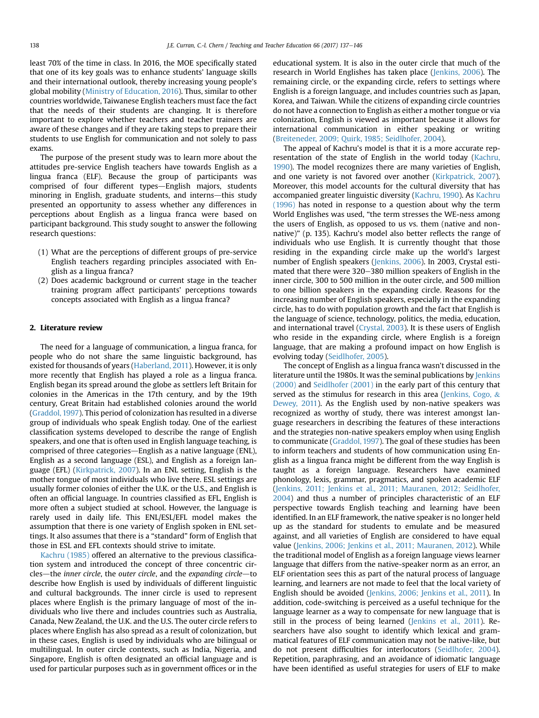least 70% of the time in class. In 2016, the MOE specifically stated that one of its key goals was to enhance students' language skills and their international outlook, thereby increasing young people's global mobility [\(Ministry of Education, 2016](#page--1-0)). Thus, similar to other countries worldwide, Taiwanese English teachers must face the fact that the needs of their students are changing. It is therefore important to explore whether teachers and teacher trainers are aware of these changes and if they are taking steps to prepare their students to use English for communication and not solely to pass exams.

The purpose of the present study was to learn more about the attitudes pre-service English teachers have towards English as a lingua franca (ELF). Because the group of participants was comprised of four different types-English majors, students minoring in English, graduate students, and interns—this study presented an opportunity to assess whether any differences in perceptions about English as a lingua franca were based on participant background. This study sought to answer the following research questions:

- (1) What are the perceptions of different groups of pre-service English teachers regarding principles associated with English as a lingua franca?
- (2) Does academic background or current stage in the teacher training program affect participants' perceptions towards concepts associated with English as a lingua franca?

### 2. Literature review

The need for a language of communication, a lingua franca, for people who do not share the same linguistic background, has existed for thousands of years [\(Haberland, 2011\)](#page--1-0). However, it is only more recently that English has played a role as a lingua franca. English began its spread around the globe as settlers left Britain for colonies in the Americas in the 17th century, and by the 19th century, Great Britain had established colonies around the world ([Graddol, 1997](#page--1-0)). This period of colonization has resulted in a diverse group of individuals who speak English today. One of the earliest classification systems developed to describe the range of English speakers, and one that is often used in English language teaching, is comprised of three categories—English as a native language (ENL), English as a second language (ESL), and English as a foreign language (EFL) ([Kirkpatrick, 2007](#page--1-0)). In an ENL setting, English is the mother tongue of most individuals who live there. ESL settings are usually former colonies of either the U.K. or the U.S., and English is often an official language. In countries classified as EFL, English is more often a subject studied at school. However, the language is rarely used in daily life. This ENL/ESL/EFL model makes the assumption that there is one variety of English spoken in ENL settings. It also assumes that there is a "standard" form of English that those in ESL and EFL contexts should strive to imitate.

[Kachru \(1985\)](#page--1-0) offered an alternative to the previous classification system and introduced the concept of three concentric cir $cles$ —the inner circle, the outer circle, and the expanding circle—to describe how English is used by individuals of different linguistic and cultural backgrounds. The inner circle is used to represent places where English is the primary language of most of the individuals who live there and includes countries such as Australia, Canada, New Zealand, the U.K. and the U.S. The outer circle refers to places where English has also spread as a result of colonization, but in these cases, English is used by individuals who are bilingual or multilingual. In outer circle contexts, such as India, Nigeria, and Singapore, English is often designated an official language and is used for particular purposes such as in government offices or in the educational system. It is also in the outer circle that much of the research in World Englishes has taken place [\(Jenkins, 2006\)](#page--1-0). The remaining circle, or the expanding circle, refers to settings where English is a foreign language, and includes countries such as Japan, Korea, and Taiwan. While the citizens of expanding circle countries do not have a connection to English as either a mother tongue or via colonization, English is viewed as important because it allows for international communication in either speaking or writing ([Breiteneder, 2009; Quirk, 1985; Seidlhofer, 2004\)](#page--1-0).

The appeal of Kachru's model is that it is a more accurate representation of the state of English in the world today [\(Kachru,](#page--1-0) [1990](#page--1-0)). The model recognizes there are many varieties of English, and one variety is not favored over another [\(Kirkpatrick, 2007\)](#page--1-0). Moreover, this model accounts for the cultural diversity that has accompanied greater linguistic diversity ([Kachru, 1990](#page--1-0)). As [Kachru](#page--1-0) [\(1996\)](#page--1-0) has noted in response to a question about why the term World Englishes was used, "the term stresses the WE-ness among the users of English, as opposed to us vs. them (native and nonnative)" (p. 135). Kachru's model also better reflects the range of individuals who use English. It is currently thought that those residing in the expanding circle make up the world's largest number of English speakers ([Jenkins, 2006](#page--1-0)). In 2003, Crystal estimated that there were 320-380 million speakers of English in the inner circle, 300 to 500 million in the outer circle, and 500 million to one billion speakers in the expanding circle. Reasons for the increasing number of English speakers, especially in the expanding circle, has to do with population growth and the fact that English is the language of science, technology, politics, the media, education, and international travel ([Crystal, 2003](#page--1-0)). It is these users of English who reside in the expanding circle, where English is a foreign language, that are making a profound impact on how English is evolving today [\(Seidlhofer, 2005\)](#page--1-0).

The concept of English as a lingua franca wasn't discussed in the literature until the 1980s. It was the seminal publications by [Jenkins](#page--1-0) [\(2000\)](#page--1-0) and [Seidlhofer \(2001\)](#page--1-0) in the early part of this century that served as the stimulus for research in this area [\(Jenkins, Cogo,](#page--1-0)  $\&$ [Dewey, 2011\)](#page--1-0). As the English used by non-native speakers was recognized as worthy of study, there was interest amongst language researchers in describing the features of these interactions and the strategies non-native speakers employ when using English to communicate ([Graddol, 1997](#page--1-0)). The goal of these studies has been to inform teachers and students of how communication using English as a lingua franca might be different from the way English is taught as a foreign language. Researchers have examined phonology, lexis, grammar, pragmatics, and spoken academic ELF ([Jenkins, 2011; Jenkins et al., 2011; Mauranen, 2012; Seidlhofer,](#page--1-0) [2004](#page--1-0)) and thus a number of principles characteristic of an ELF perspective towards English teaching and learning have been identified. In an ELF framework, the native speaker is no longer held up as the standard for students to emulate and be measured against, and all varieties of English are considered to have equal value ([Jenkins, 2006; Jenkins et al., 2011; Mauranen, 2012\)](#page--1-0). While the traditional model of English as a foreign language views learner language that differs from the native-speaker norm as an error, an ELF orientation sees this as part of the natural process of language learning, and learners are not made to feel that the local variety of English should be avoided [\(Jenkins, 2006; Jenkins et al., 2011\)](#page--1-0). In addition, code-switching is perceived as a useful technique for the language learner as a way to compensate for new language that is still in the process of being learned ([Jenkins et al., 2011\)](#page--1-0). Researchers have also sought to identify which lexical and grammatical features of ELF communication may not be native-like, but do not present difficulties for interlocutors ([Seidlhofer, 2004\)](#page--1-0). Repetition, paraphrasing, and an avoidance of idiomatic language have been identified as useful strategies for users of ELF to make